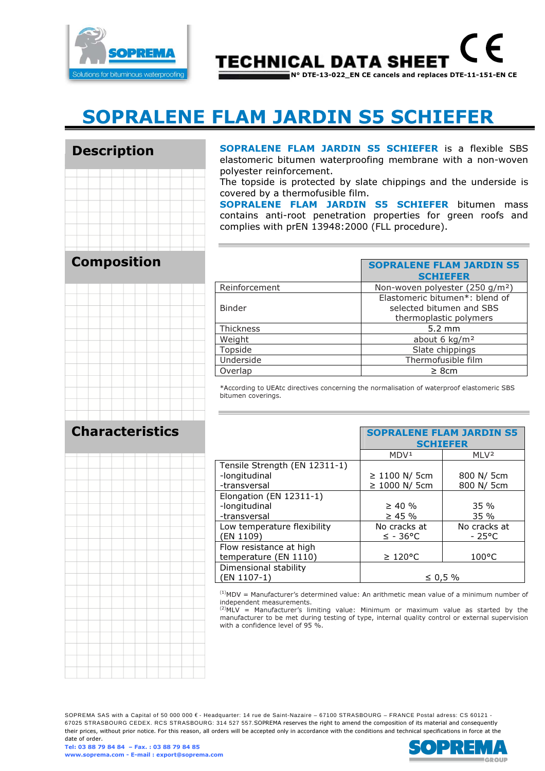

**TECHNICAL DATA SHEET** N° DTE-13-022\_EN CE cancels and replaces DTE-11-151-EN CE

# SOPRALENE FLAM JARDIN S5 SCHIEFER

# Description

SOPRALENE FLAM JARDIN S5 SCHIEFER is a flexible SBS elastomeric bitumen waterproofing membrane with a non-woven polyester reinforcement.

The topside is protected by slate chippings and the underside is covered by a thermofusible film.

SOPRALENE FLAM JARDIN S5 SCHIEFER bitumen mass contains anti-root penetration properties for green roofs and complies with prEN 13948:2000 (FLL procedure).

# Composition



|                  | <b>SOPRALENE FLAM JARDIN S5</b>             |
|------------------|---------------------------------------------|
|                  | <b>SCHIEFER</b>                             |
| Reinforcement    | Non-woven polyester (250 g/m <sup>2</sup> ) |
|                  | Elastomeric bitumen*: blend of              |
| <b>Binder</b>    | selected bitumen and SBS                    |
|                  | thermoplastic polymers                      |
| <b>Thickness</b> | $5.2 \text{ mm}$                            |
| Weight           | about 6 kg/m <sup>2</sup>                   |
| Topside          | Slate chippings                             |
| Underside        | Thermofusible film                          |
| Overlap          | $\geq$ 8cm                                  |
|                  |                                             |

\*According to UEAtc directives concerning the normalisation of waterproof elastomeric SBS bitumen coverings.

## Characteristics



|                               | <b>SCHIEFER</b>      |                  |
|-------------------------------|----------------------|------------------|
|                               | MDV <sup>1</sup>     | MLV <sup>2</sup> |
| Tensile Strength (EN 12311-1) |                      |                  |
| -longitudinal                 | ≥ 1100 N/ 5cm        | 800 N/ 5cm       |
| -transversal                  | ≥ 1000 N/ 5cm        | 800 N/ 5cm       |
| Elongation (EN 12311-1)       |                      |                  |
| -longitudinal                 | $\geq 40 \%$         | 35%              |
| -transversal                  | $\geq$ 45 %          | 35%              |
| Low temperature flexibility   | No cracks at         | No cracks at     |
| (EN 1109)                     | $\leq$ - 36°C        | $-25^{\circ}$ C  |
| Flow resistance at high       |                      |                  |
| temperature (EN 1110)         | $\geq 120^{\circ}$ C | $100^{\circ}$ C  |
| Dimensional stability         |                      |                  |
| (EN 1107-1)                   | ≤ 0,5 %              |                  |
|                               |                      |                  |

 $<sup>(1)</sup>MDV =$  Manufacturer's determined value: An arithmetic mean value of a minimum number of</sup> independent measurements.

 $(2)$ MLV = Manufacturer's limiting value: Minimum or maximum value as started by the manufacturer to be met during testing of type, internal quality control or external supervision with a confidence level of 95 %.

SOPREMA SAS with a Capital of 50 000 000 € - Headquarter: 14 rue de Saint-Nazaire – 67100 STRASBOURG – FRANCE Postal adress: CS 60121 - 67025 STRASBOURG CEDEX. RCS STRASBOURG: 314 527 557.SOPREMA reserves the right to amend the composition of its material and consequently their prices, without prior notice. For this reason, all orders will be accepted only in accordance with the conditions and technical specifications in force at the date of order.



SOPPALENE FLAM JARDIN CE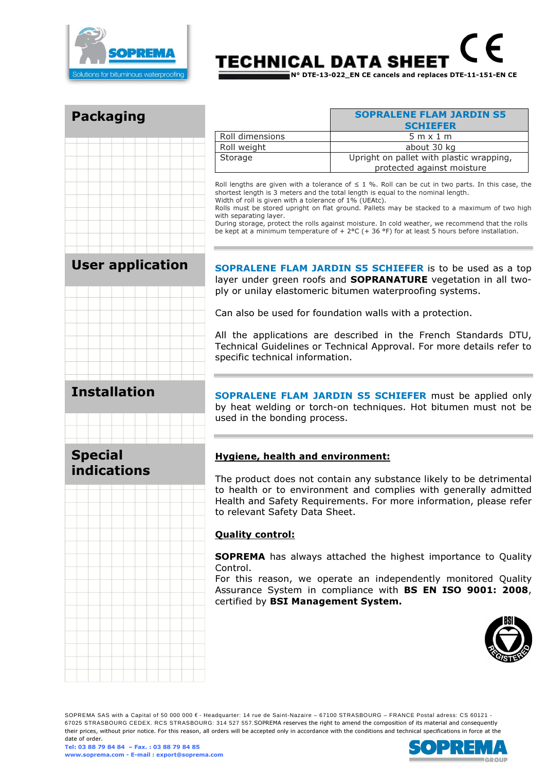

# TECHNICAL DATA SHEET N° DTE-13-022\_EN CE cancels and replaces DTE-11-151-EN CE

Packaging

|                 | <b>SOPRALENE FLAM JARDIN S5</b><br><b>SCHIEFER</b>                     |
|-----------------|------------------------------------------------------------------------|
| Roll dimensions | $5m \times 1m$                                                         |
| Roll weight     | about 30 kg                                                            |
| Storage         | Upright on pallet with plastic wrapping,<br>protected against moisture |

Roll lengths are given with a tolerance of  $\leq 1$  %. Roll can be cut in two parts. In this case, the shortest length is 3 meters and the total length is equal to the nominal length. Width of roll is given with a tolerance of 1% (UEAtc).

Rolls must be stored upright on flat ground. Pallets may be stacked to a maximum of two high with separating layer.

During storage, protect the rolls against moisture. In cold weather, we recommend that the rolls be kept at a minimum temperature of  $+ 2$ °C (+ 36 °F) for at least 5 hours before installation.

# User application



SOPRALENE FLAM JARDIN S5 SCHIEFER is to be used as a top layer under green roofs and **SOPRANATURE** vegetation in all twoply or unilay elastomeric bitumen waterproofing systems.

Can also be used for foundation walls with a protection.

All the applications are described in the French Standards DTU, Technical Guidelines or Technical Approval. For more details refer to specific technical information.

SOPRALENE FLAM JARDIN S5 SCHIEFER must be applied only by heat welding or torch-on techniques. Hot bitumen must not be used in the bonding process.

### Special indications

#### Hygiene, health and environment:

The product does not contain any substance likely to be detrimental to health or to environment and complies with generally admitted Health and Safety Requirements. For more information, please refer to relevant Safety Data Sheet.

#### Quality control:

SOPREMA has always attached the highest importance to Quality Control.

For this reason, we operate an independently monitored Quality Assurance System in compliance with BS EN ISO 9001: 2008, certified by BSI Management System.



SOPREMA SAS with a Capital of 50 000 000 € - Headquarter: 14 rue de Saint-Nazaire – 67100 STRASBOURG – FRANCE Postal adress: CS 60121 - 67025 STRASBOURG CEDEX. RCS STRASBOURG: 314 527 557.SOPREMA reserves the right to amend the composition of its material and consequently their prices, without prior notice. For this reason, all orders will be accepted only in accordance with the conditions and technical specifications in force at the date of order.